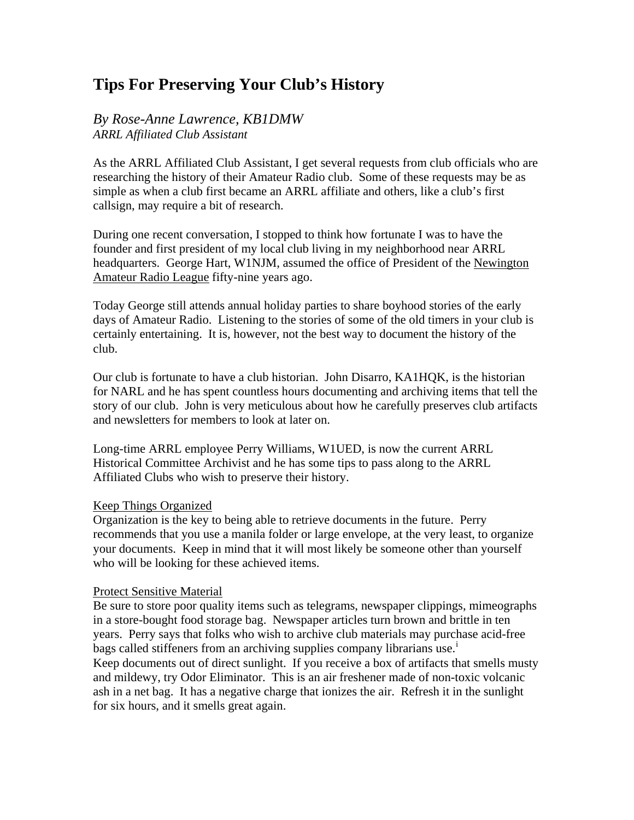# **Tips For Preserving Your Club's History**

## *By Rose-Anne Lawrence, KB1DMW ARRL Affiliated Club Assistant*

As the ARRL Affiliated Club Assistant, I get several requests from club officials who are researching the history of their Amateur Radio club. Some of these requests may be as simple as when a club first became an ARRL affiliate and others, like a club's first callsign, may require a bit of research.

During one recent conversation, I stopped to think how fortunate I was to have the founder and first president of my local club living in my neighborhood near ARRL headquarters. George Hart, W1NJM, assumed the office of President of the Newington Amateur Radio League fifty-nine years ago.

Today George still attends annual holiday parties to share boyhood stories of the early days of Amateur Radio. Listening to the stories of some of the old timers in your club is certainly entertaining. It is, however, not the best way to document the history of the club.

Our club is fortunate to have a club historian. John Disarro, KA1HQK, is the historian for NARL and he has spent countless hours documenting and archiving items that tell the story of our club. John is very meticulous about how he carefully preserves club artifacts and newsletters for members to look at later on.

Long-time ARRL employee Perry Williams, W1UED, is now the current ARRL Historical Committee Archivist and he has some tips to pass along to the ARRL Affiliated Clubs who wish to preserve their history.

### Keep Things Organized

Organization is the key to being able to retrieve documents in the future. Perry recommends that you use a manila folder or large envelope, at the very least, to organize your documents. Keep in mind that it will most likely be someone other than yourself who will be looking for these achieved items.

### Protect Sensitive Material

Be sure to store poor quality items such as telegrams, newspaper clippings, mimeographs in a store-bought food storage bag. Newspaper articles turn brown and brittle in ten years. Perry says that folks who wish to archive club materials may purchase acid-free bags called st[i](#page-1-0)ffeners from an archiving supplies company librarians use.<sup>1</sup> Keep documents out of direct sunlight. If you receive a box of artifacts that smells musty and mildewy, try Odor Eliminator. This is an air freshener made of non-toxic volcanic ash in a net bag. It has a negative charge that ionizes the air. Refresh it in the sunlight for six hours, and it smells great again.